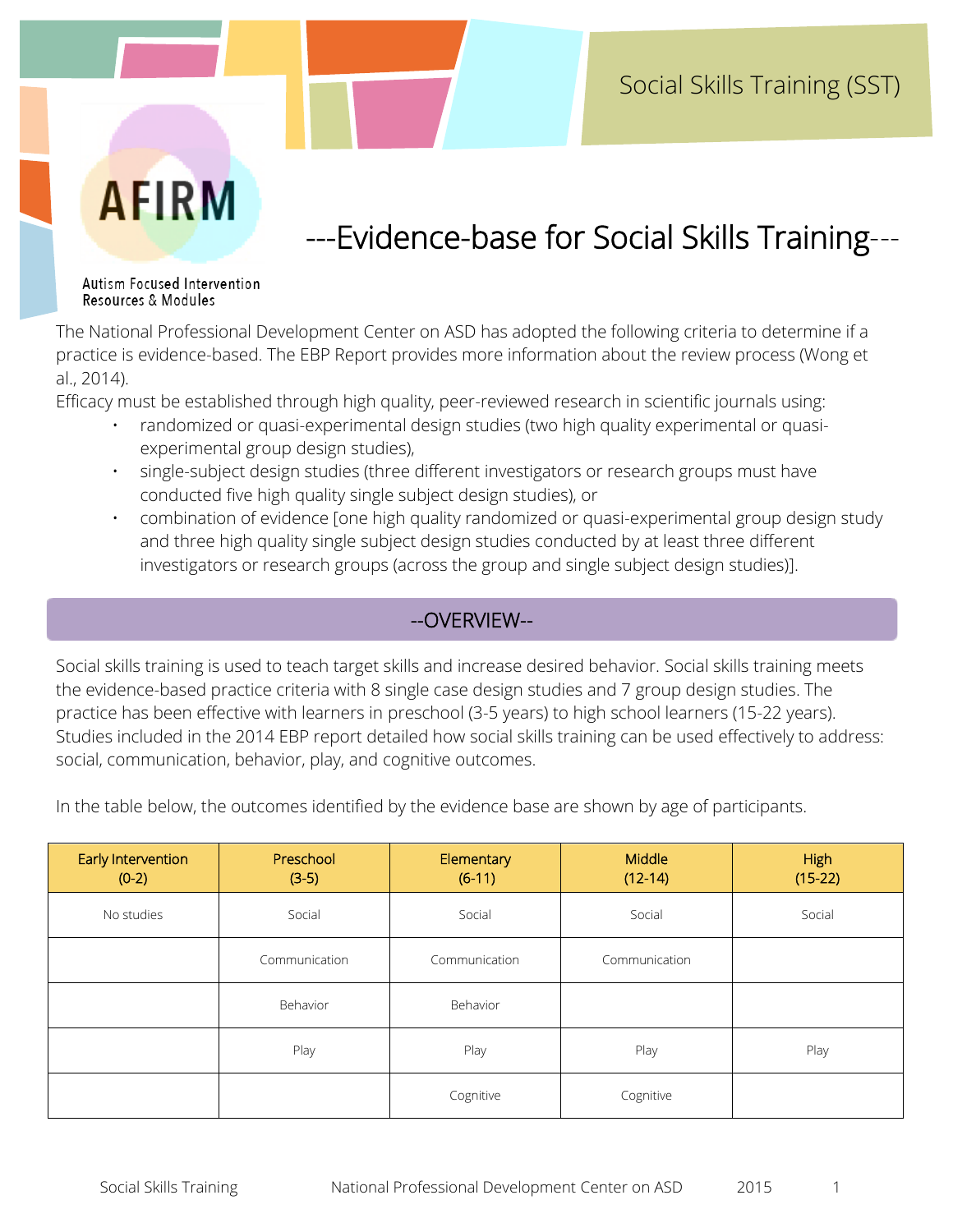# **AFIRM**

# ---Evidence-base for Social Skills Training---

Autism Focused Intervention Resources & Modules

The National Professional Development Center on ASD has adopted the following criteria to determine if a practice is evidence-based. The EBP Report provides more information about the review process (Wong et al., 2014).

Efficacy must be established through high quality, peer-reviewed research in scientific journals using:

- randomized or quasi-experimental design studies (two high quality experimental or quasiexperimental group design studies),
- single-subject design studies (three different investigators or research groups must have conducted five high quality single subject design studies), or
- combination of evidence [one high quality randomized or quasi-experimental group design study and three high quality single subject design studies conducted by at least three different investigators or research groups (across the group and single subject design studies)].

## --OVERVIEW--

Social skills training is used to teach target skills and increase desired behavior. Social skills training meets the evidence-based practice criteria with 8 single case design studies and 7 group design studies. The practice has been effective with learners in preschool (3-5 years) to high school learners (15-22 years). Studies included in the 2014 EBP report detailed how social skills training can be used effectively to address: social, communication, behavior, play, and cognitive outcomes.

In the table below, the outcomes identified by the evidence base are shown by age of participants.

| Early Intervention<br>$(0-2)$ | Preschool<br>$(3-5)$ | Elementary<br>$(6-11)$ | Middle<br>$(12-14)$ | <b>High</b><br>$(15-22)$ |
|-------------------------------|----------------------|------------------------|---------------------|--------------------------|
| No studies                    | Social               | Social                 | Social              | Social                   |
|                               | Communication        | Communication          | Communication       |                          |
|                               | Behavior             | Behavior               |                     |                          |
|                               | Play                 | Play                   | Play                | Play                     |
|                               |                      | Cognitive              | Cognitive           |                          |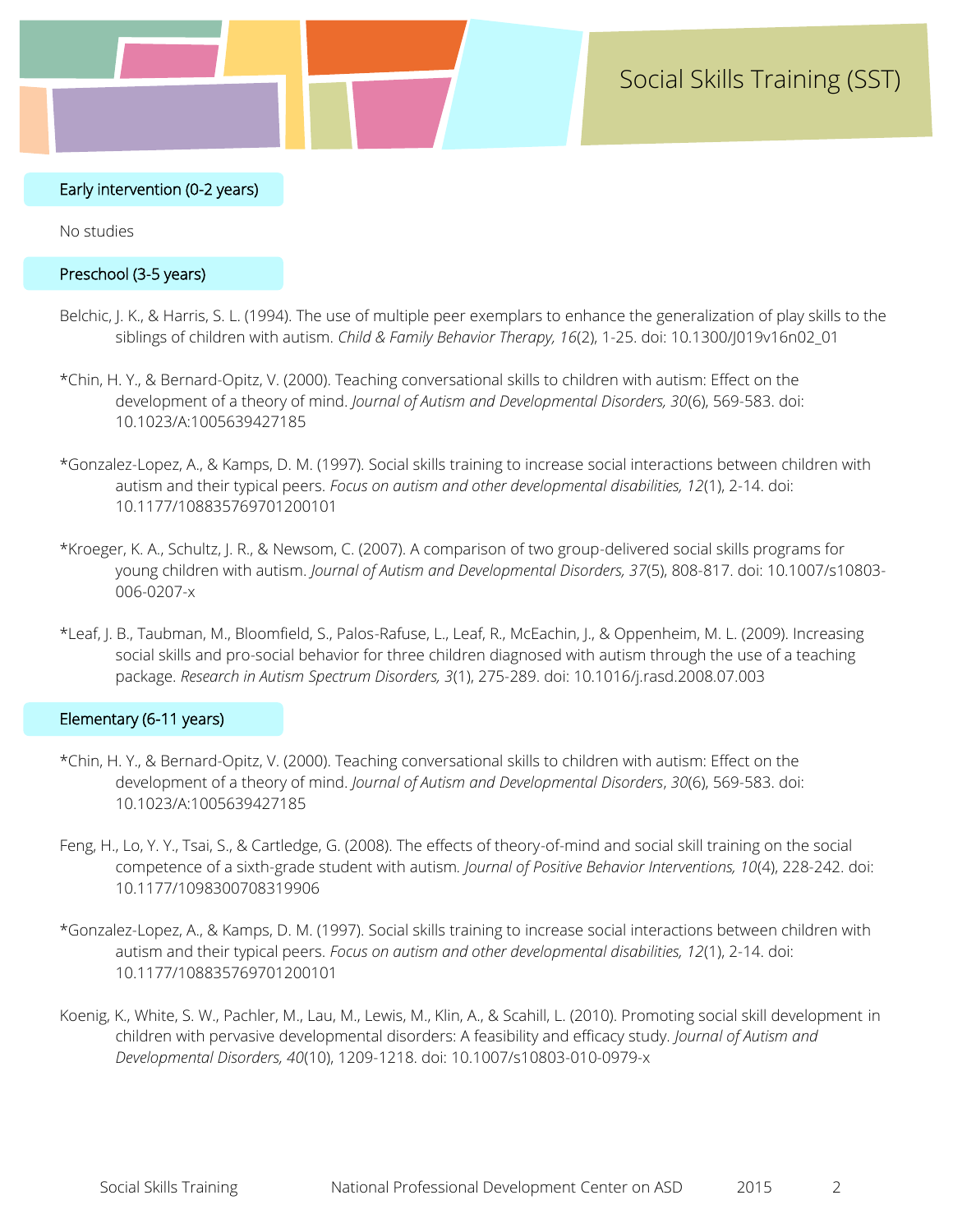#### Early intervention (0-2 years)

No studies

#### Preschool (3-5 years)

- Belchic, J. K., & Harris, S. L. (1994). The use of multiple peer exemplars to enhance the generalization of play skills to the siblings of children with autism. *Child & Family Behavior Therapy, 16*(2), 1-25. doi: 10.1300/J019v16n02\_01
- \*Chin, H. Y., & Bernard-Opitz, V. (2000). Teaching conversational skills to children with autism: Effect on the development of a theory of mind. *Journal of Autism and Developmental Disorders, 30*(6), 569-583. doi: 10.1023/A:1005639427185
- \*Gonzalez-Lopez, A., & Kamps, D. M. (1997). Social skills training to increase social interactions between children with autism and their typical peers. *Focus on autism and other developmental disabilities, 12*(1), 2-14. doi: 10.1177/108835769701200101
- \*Kroeger, K. A., Schultz, J. R., & Newsom, C. (2007). A comparison of two group-delivered social skills programs for young children with autism. *Journal of Autism and Developmental Disorders, 37*(5), 808-817. doi: 10.1007/s10803- 006-0207-x
- \*Leaf, J. B., Taubman, M., Bloomfield, S., Palos-Rafuse, L., Leaf, R., McEachin, J., & Oppenheim, M. L. (2009). Increasing social skills and pro-social behavior for three children diagnosed with autism through the use of a teaching package. *Research in Autism Spectrum Disorders, 3*(1), 275-289. doi: 10.1016/j.rasd.2008.07.003

#### Elementary (6-11 years)

- \*Chin, H. Y., & Bernard-Opitz, V. (2000). Teaching conversational skills to children with autism: Effect on the development of a theory of mind. *Journal of Autism and Developmental Disorders*, *30*(6), 569-583. doi: 10.1023/A:1005639427185
- Feng, H., Lo, Y. Y., Tsai, S., & Cartledge, G. (2008). The effects of theory-of-mind and social skill training on the social competence of a sixth-grade student with autism*. Journal of Positive Behavior Interventions, 10*(4), 228-242. doi: 10.1177/1098300708319906
- \*Gonzalez-Lopez, A., & Kamps, D. M. (1997). Social skills training to increase social interactions between children with autism and their typical peers. *Focus on autism and other developmental disabilities, 12*(1), 2-14. doi: 10.1177/108835769701200101
- Koenig, K., White, S. W., Pachler, M., Lau, M., Lewis, M., Klin, A., & Scahill, L. (2010). Promoting social skill development in children with pervasive developmental disorders: A feasibility and efficacy study. *Journal of Autism and Developmental Disorders, 40*(10), 1209-1218. doi: 10.1007/s10803-010-0979-x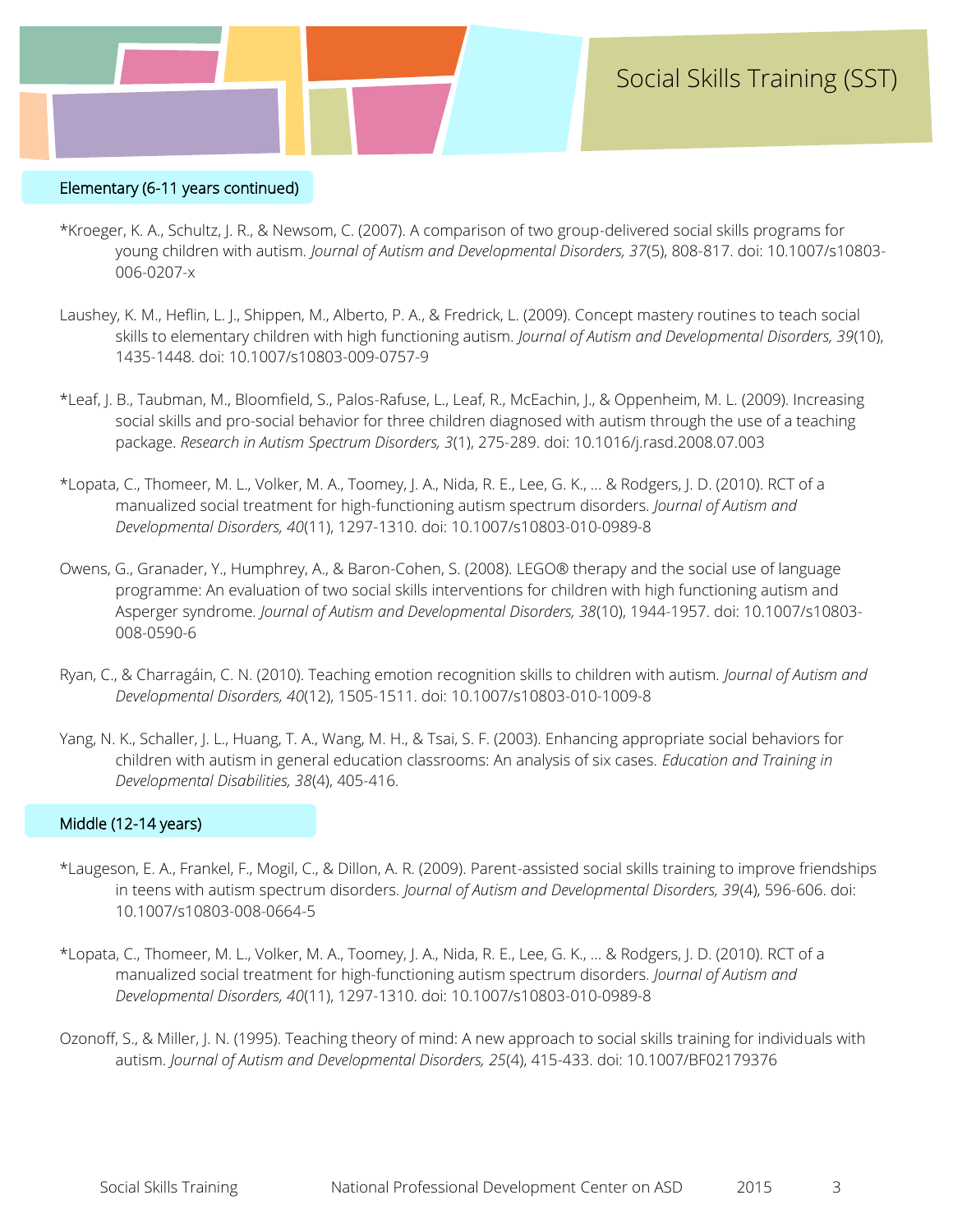

#### Elementary (6-11 years continued)

- \*Kroeger, K. A., Schultz, J. R., & Newsom, C. (2007). A comparison of two group-delivered social skills programs for young children with autism*. Journal of Autism and Developmental Disorders, 37*(5), 808-817. doi: 10.1007/s10803- 006-0207-x
- Laushey, K. M., Heflin, L. J., Shippen, M., Alberto, P. A., & Fredrick, L. (2009). Concept mastery routines to teach social skills to elementary children with high functioning autism. *Journal of Autism and Developmental Disorders, 39*(10), 1435-1448. doi: 10.1007/s10803-009-0757-9
- \*Leaf, J. B., Taubman, M., Bloomfield, S., Palos-Rafuse, L., Leaf, R., McEachin, J., & Oppenheim, M. L. (2009). Increasing social skills and pro-social behavior for three children diagnosed with autism through the use of a teaching package. *Research in Autism Spectrum Disorders, 3*(1), 275-289. doi: 10.1016/j.rasd.2008.07.003
- \*Lopata, C., Thomeer, M. L., Volker, M. A., Toomey, J. A., Nida, R. E., Lee, G. K., ... & Rodgers, J. D. (2010). RCT of a manualized social treatment for high-functioning autism spectrum disorders*. Journal of Autism and Developmental Disorders, 40*(11), 1297-1310. doi: 10.1007/s10803-010-0989-8
- Owens, G., Granader, Y., Humphrey, A., & Baron-Cohen, S. (2008). LEGO® therapy and the social use of language programme: An evaluation of two social skills interventions for children with high functioning autism and Asperger syndrome*. Journal of Autism and Developmental Disorders, 38*(10), 1944-1957. doi: 10.1007/s10803- 008-0590-6
- Ryan, C., & Charragáin, C. N. (2010). Teaching emotion recognition skills to children with autism. *Journal of Autism and Developmental Disorders, 40*(12), 1505-1511. doi: 10.1007/s10803-010-1009-8
- Yang, N. K., Schaller, J. L., Huang, T. A., Wang, M. H., & Tsai, S. F. (2003). Enhancing appropriate social behaviors for children with autism in general education classrooms: An analysis of six cases. *Education and Training in Developmental Disabilities, 38*(4), 405-416.

#### Middle (12-14 years)

- \*Laugeson, E. A., Frankel, F., Mogil, C., & Dillon, A. R. (2009). Parent-assisted social skills training to improve friendships in teens with autism spectrum disorders*. Journal of Autism and Developmental Disorders, 39*(4), 596-606. doi: 10.1007/s10803-008-0664-5
- \*Lopata, C., Thomeer, M. L., Volker, M. A., Toomey, J. A., Nida, R. E., Lee, G. K., ... & Rodgers, J. D. (2010). RCT of a manualized social treatment for high-functioning autism spectrum disorders*. Journal of Autism and Developmental Disorders, 40*(11), 1297-1310. doi: 10.1007/s10803-010-0989-8
- Ozonoff, S., & Miller, J. N. (1995). Teaching theory of mind: A new approach to social skills training for individuals with autism. *Journal of Autism and Developmental Disorders, 25*(4), 415-433. doi: 10.1007/BF02179376